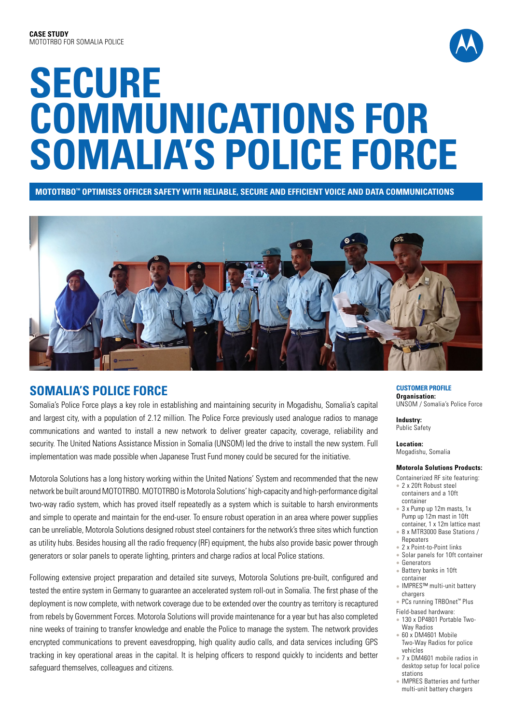

# **SECURE COMMUNICATIONS FOR SOMALIA'S POLICE FORCE**

**MOTOTRBO™ OPTIMISES OFFICER SAFETY WITH RELIABLE, SECURE AND EFFICIENT VOICE AND DATA COMMUNICATIONS** 



# **SOMALIA'S POLICE FORCE**

Somalia's Police Force plays a key role in establishing and maintaining security in Mogadishu, Somalia's capital and largest city, with a population of 2.12 million. The Police Force previously used analogue radios to manage communications and wanted to install a new network to deliver greater capacity, coverage, reliability and security. The United Nations Assistance Mission in Somalia (UNSOM) led the drive to install the new system. Full implementation was made possible when Japanese Trust Fund money could be secured for the initiative.

Motorola Solutions has a long history working within the United Nations' System and recommended that the new network be built around MOTOTRBO. MOTOTRBO is Motorola Solutions' high-capacity and high-performance digital two-way radio system, which has proved itself repeatedly as a system which is suitable to harsh environments and simple to operate and maintain for the end-user. To ensure robust operation in an area where power supplies can be unreliable, Motorola Solutions designed robust steel containers for the network's three sites which function as utility hubs. Besides housing all the radio frequency (RF) equipment, the hubs also provide basic power through generators or solar panels to operate lighting, printers and charge radios at local Police stations.

Following extensive project preparation and detailed site surveys, Motorola Solutions pre-built, configured and tested the entire system in Germany to guarantee an accelerated system roll-out in Somalia. The first phase of the deployment is now complete, with network coverage due to be extended over the country as territory is recaptured from rebels by Government Forces. Motorola Solutions will provide maintenance for a year but has also completed nine weeks of training to transfer knowledge and enable the Police to manage the system. The network provides encrypted communications to prevent eavesdropping, high quality audio calls, and data services including GPS tracking in key operational areas in the capital. It is helping officers to respond quickly to incidents and better safeguard themselves, colleagues and citizens.

#### **CUSTOMER PROFILE Organisation:**

UNSOM / Somalia's Police Force

**Industry:** Public Safety

**Location:** Mogadishu, Somalia

### **Motorola Solutions Products:**

- Containerized RF site featuring: • 2 x 20ft Robust steel containers and a 10ft container
- 3 x Pump up 12m masts, 1x Pump up 12m mast in 10ft container, 1 x 12m lattice mast
- <sup>l</sup> 8 x MTR3000 Base Stations / Repeaters
- 2 x Point-to-Point links
- Solar panels for 10ft container
- <sup>l</sup> Generators Battery banks in 10ft
- container • IMPRES™ multi-unit battery
- chargers <sup>l</sup> PCs running TRBOnet™ Plus
- Field-based hardware:
- 130 x DP4801 Portable Two-Way Radios
- $\cdot$  60 x DM4601 Mobile Two-Way Radios for police vehicles
- 7 x DM4601 mobile radios in desktop setup for local police stations
- IMPRES Batteries and further multi-unit battery chargers